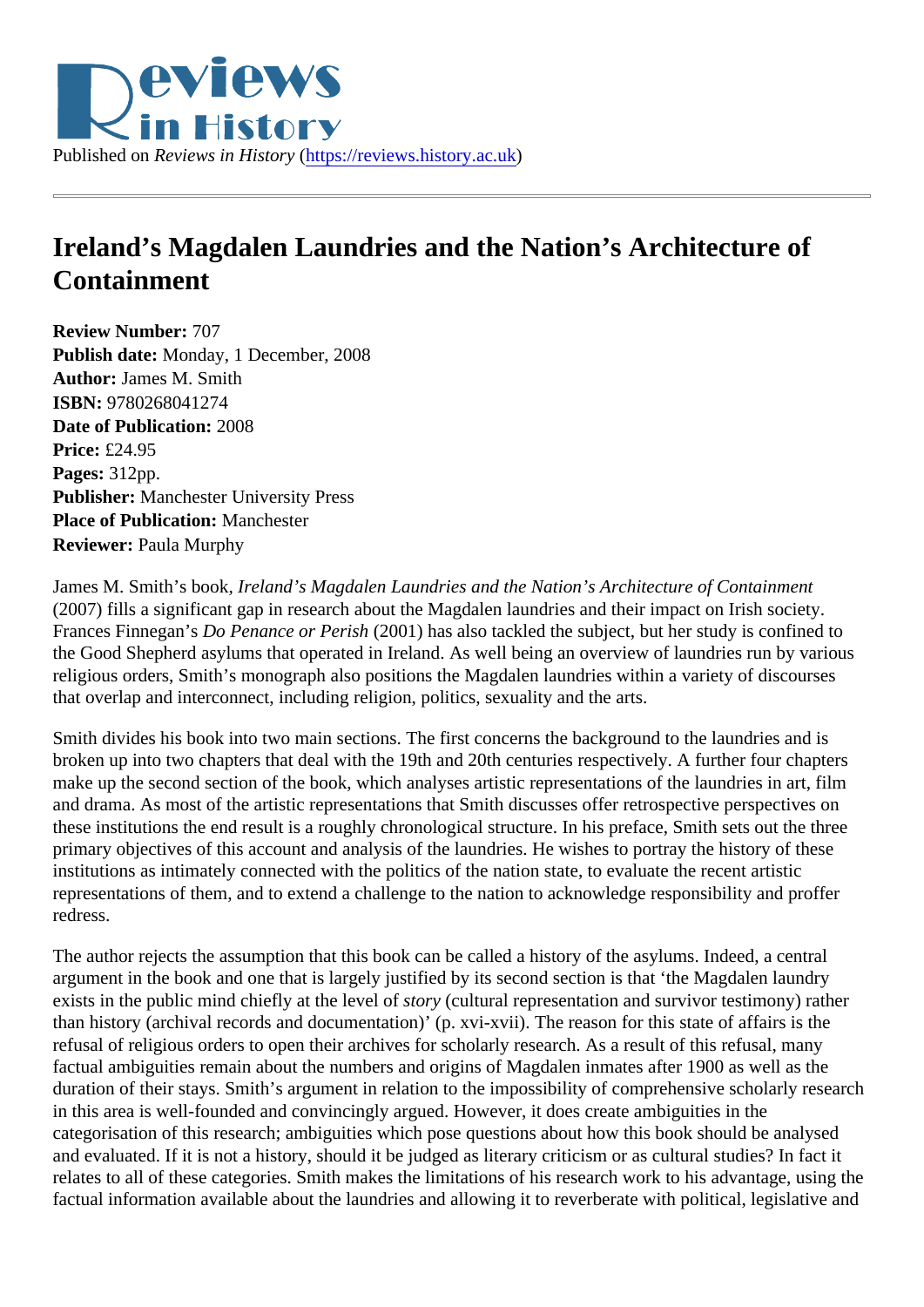## Ireland's Magdalen Laundries and the Nation's Architecture of Containment

Review Number: 707 Publish date: Monday, 1 December, 2008 Author: James M. Smith ISBN: 9780268041274 Date of Publication: 2008 Price: £24.95 Pages: 312pp. Publisher: Manchester University Press Place of Publication: Manchester Reviewer: Paula Murphy

James M. Smith's book reland's Magdalen Laundries and the Nation's Architecture of Containment (2007) fills a significant gap in research about the Magdalen laundries and their impact on Irish society. Frances FinneganBo Penance or Peris(2001) has also tackled the subject, but her study is confined to the Good Shepherd asylums that operated in Ireland. As well being an overview of laundries run by various religious orders, Smith's monograph also positions the Magdalen laundries within a variety of discourses that overlap and interconnect, including religion, politics, sexuality and the arts.

Smith divides his book into two main sections. The first concerns the background to the laundries and is broken up into two chapters that deal with the 19th and 20th centuries respectively. A further four chapters make up the second section of the book, which analyses artistic representations of the laundries in art, film and drama. As most of the artistic representations that Smith discusses offer retrospective perspectives on these institutions the end result is a roughly chronological structure. In his preface, Smith sets out the thre primary objectives of this account and analysis of the laundries. He wishes to portray the history of these institutions as intimately connected with the politics of the nation state, to evaluate the recent artistic representations of them, and to extend a challenge to the nation to acknowledge responsibility and proffer redress.

The author rejects the assumption that this book can be called a history of the asylums. Indeed, a central argument in the book and one that is largely justified by its second section is that 'the Magdalen laundry exists in the public mind chiefly at the levelsto for story in representation and survivor testimony) rather than history (archival records and documentation)' (p. xvi-xvii). The reason for this state of affairs is the refusal of religious orders to open their archives for scholarly research. As a result of this refusal, many factual ambiguities remain about the numbers and origins of Magdalen inmates after 1900 as well as the duration of their stays. Smith's argument in relation to the impossibility of comprehensive scholarly researd in this area is well-founded and convincingly argued. However, it does create ambiguities in the categorisation of this research; ambiguities which pose questions about how this book should be analysed and evaluated. If it is not a history, should it be judged as literary criticism or as cultural studies? In fact it relates to all of these categories. Smith makes the limitations of his research work to his advantage, using factual information available about the laundries and allowing it to reverberate with political, legislative and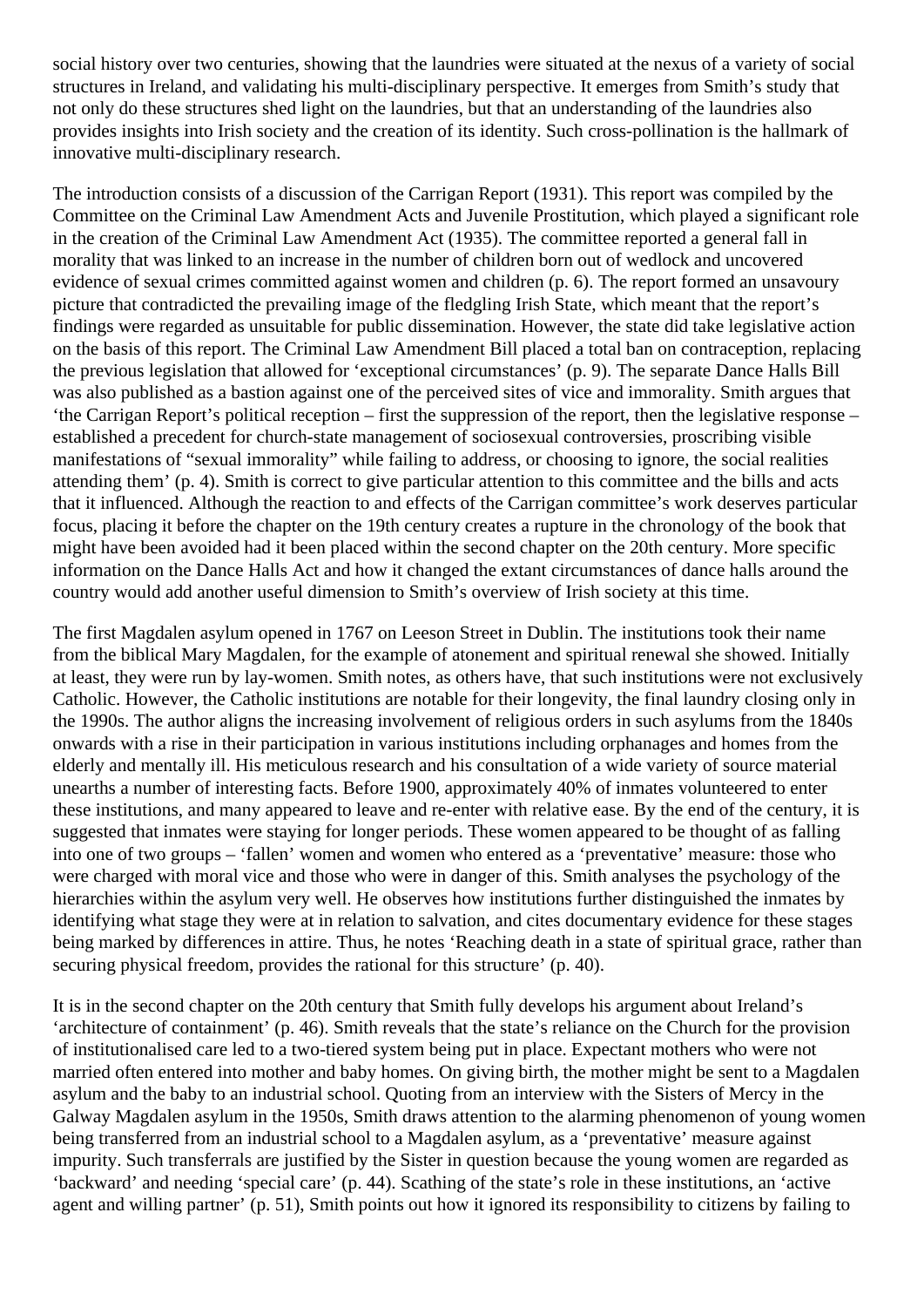social history over two centuries, showing that the laundries were situated at the nexus of a variety of social structures in Ireland, and validating his multi-disciplinary perspective. It emerges from Smith's study that not only do these structures shed light on the laundries, but that an understanding of the laundries also provides insights into Irish society and the creation of its identity. Such cross-pollination is the hallmark of innovative multi-disciplinary research.

The introduction consists of a discussion of the Carrigan Report (1931). This report was compiled by the Committee on the Criminal Law Amendment Acts and Juvenile Prostitution, which played a significant role in the creation of the Criminal Law Amendment Act (1935). The committee reported a general fall in morality that was linked to an increase in the number of children born out of wedlock and uncovered evidence of sexual crimes committed against women and children (p. 6). The report formed an unsavoury picture that contradicted the prevailing image of the fledgling Irish State, which meant that the report's findings were regarded as unsuitable for public dissemination. However, the state did take legislative action on the basis of this report. The Criminal Law Amendment Bill placed a total ban on contraception, replacing the previous legislation that allowed for 'exceptional circumstances' (p. 9). The separate Dance Halls Bill was also published as a bastion against one of the perceived sites of vice and immorality. Smith argues that 'the Carrigan Report's political reception – first the suppression of the report, then the legislative response – established a precedent for church-state management of sociosexual controversies, proscribing visible manifestations of "sexual immorality" while failing to address, or choosing to ignore, the social realities attending them' (p. 4). Smith is correct to give particular attention to this committee and the bills and acts that it influenced. Although the reaction to and effects of the Carrigan committee's work deserves particular focus, placing it before the chapter on the 19th century creates a rupture in the chronology of the book that might have been avoided had it been placed within the second chapter on the 20th century. More specific information on the Dance Halls Act and how it changed the extant circumstances of dance halls around the country would add another useful dimension to Smith's overview of Irish society at this time.

The first Magdalen asylum opened in 1767 on Leeson Street in Dublin. The institutions took their name from the biblical Mary Magdalen, for the example of atonement and spiritual renewal she showed. Initially at least, they were run by lay-women. Smith notes, as others have, that such institutions were not exclusively Catholic. However, the Catholic institutions are notable for their longevity, the final laundry closing only in the 1990s. The author aligns the increasing involvement of religious orders in such asylums from the 1840s onwards with a rise in their participation in various institutions including orphanages and homes from the elderly and mentally ill. His meticulous research and his consultation of a wide variety of source material unearths a number of interesting facts. Before 1900, approximately 40% of inmates volunteered to enter these institutions, and many appeared to leave and re-enter with relative ease. By the end of the century, it is suggested that inmates were staying for longer periods. These women appeared to be thought of as falling into one of two groups – 'fallen' women and women who entered as a 'preventative' measure: those who were charged with moral vice and those who were in danger of this. Smith analyses the psychology of the hierarchies within the asylum very well. He observes how institutions further distinguished the inmates by identifying what stage they were at in relation to salvation, and cites documentary evidence for these stages being marked by differences in attire. Thus, he notes 'Reaching death in a state of spiritual grace, rather than securing physical freedom, provides the rational for this structure' (p. 40).

It is in the second chapter on the 20th century that Smith fully develops his argument about Ireland's 'architecture of containment' (p. 46). Smith reveals that the state's reliance on the Church for the provision of institutionalised care led to a two-tiered system being put in place. Expectant mothers who were not married often entered into mother and baby homes. On giving birth, the mother might be sent to a Magdalen asylum and the baby to an industrial school. Quoting from an interview with the Sisters of Mercy in the Galway Magdalen asylum in the 1950s, Smith draws attention to the alarming phenomenon of young women being transferred from an industrial school to a Magdalen asylum, as a 'preventative' measure against impurity. Such transferrals are justified by the Sister in question because the young women are regarded as 'backward' and needing 'special care' (p. 44). Scathing of the state's role in these institutions, an 'active agent and willing partner' (p. 51), Smith points out how it ignored its responsibility to citizens by failing to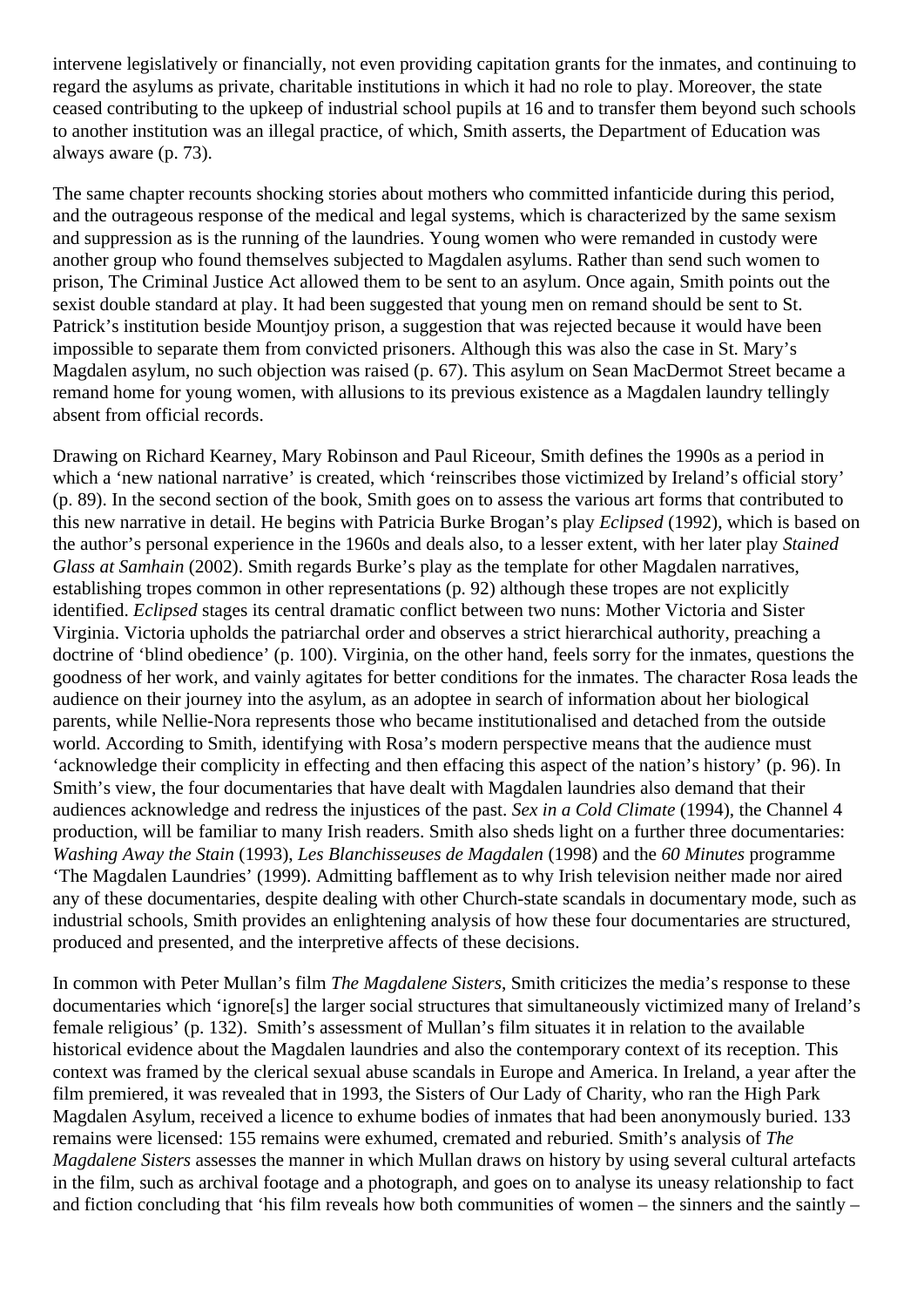intervene legislatively or financially, not even providing capitation grants for the inmates, and continuing to regard the asylums as private, charitable institutions in which it had no role to play. Moreover, the state ceased contributing to the upkeep of industrial school pupils at 16 and to transfer them beyond such schools to another institution was an illegal practice, of which, Smith asserts, the Department of Education was always aware (p. 73).

The same chapter recounts shocking stories about mothers who committed infanticide during this period, and the outrageous response of the medical and legal systems, which is characterized by the same sexism and suppression as is the running of the laundries. Young women who were remanded in custody were another group who found themselves subjected to Magdalen asylums. Rather than send such women to prison, The Criminal Justice Act allowed them to be sent to an asylum. Once again, Smith points out the sexist double standard at play. It had been suggested that young men on remand should be sent to St. Patrick's institution beside Mountjoy prison, a suggestion that was rejected because it would have been impossible to separate them from convicted prisoners. Although this was also the case in St. Mary's Magdalen asylum, no such objection was raised (p. 67). This asylum on Sean MacDermot Street became a remand home for young women, with allusions to its previous existence as a Magdalen laundry tellingly absent from official records.

Drawing on Richard Kearney, Mary Robinson and Paul Riceour, Smith defines the 1990s as a period in which a 'new national narrative' is created, which 'reinscribes those victimized by Ireland's official story' (p. 89). In the second section of the book, Smith goes on to assess the various art forms that contributed to this new narrative in detail. He begins with Patricia Burke Brogan's play *Eclipsed* (1992), which is based on the author's personal experience in the 1960s and deals also, to a lesser extent, with her later play *Stained Glass at Samhain* (2002). Smith regards Burke's play as the template for other Magdalen narratives, establishing tropes common in other representations (p. 92) although these tropes are not explicitly identified. *Eclipsed* stages its central dramatic conflict between two nuns: Mother Victoria and Sister Virginia. Victoria upholds the patriarchal order and observes a strict hierarchical authority, preaching a doctrine of 'blind obedience' (p. 100). Virginia, on the other hand, feels sorry for the inmates, questions the goodness of her work, and vainly agitates for better conditions for the inmates. The character Rosa leads the audience on their journey into the asylum, as an adoptee in search of information about her biological parents, while Nellie-Nora represents those who became institutionalised and detached from the outside world. According to Smith, identifying with Rosa's modern perspective means that the audience must 'acknowledge their complicity in effecting and then effacing this aspect of the nation's history' (p. 96). In Smith's view, the four documentaries that have dealt with Magdalen laundries also demand that their audiences acknowledge and redress the injustices of the past. *Sex in a Cold Climate* (1994), the Channel 4 production, will be familiar to many Irish readers. Smith also sheds light on a further three documentaries: *Washing Away the Stain* (1993), *Les Blanchisseuses de Magdalen* (1998) and the *60 Minutes* programme 'The Magdalen Laundries' (1999). Admitting bafflement as to why Irish television neither made nor aired any of these documentaries, despite dealing with other Church-state scandals in documentary mode, such as industrial schools, Smith provides an enlightening analysis of how these four documentaries are structured, produced and presented, and the interpretive affects of these decisions.

In common with Peter Mullan's film *The Magdalene Sisters*, Smith criticizes the media's response to these documentaries which 'ignore[s] the larger social structures that simultaneously victimized many of Ireland's female religious' (p. 132). Smith's assessment of Mullan's film situates it in relation to the available historical evidence about the Magdalen laundries and also the contemporary context of its reception. This context was framed by the clerical sexual abuse scandals in Europe and America. In Ireland, a year after the film premiered, it was revealed that in 1993, the Sisters of Our Lady of Charity, who ran the High Park Magdalen Asylum, received a licence to exhume bodies of inmates that had been anonymously buried. 133 remains were licensed: 155 remains were exhumed, cremated and reburied. Smith's analysis of *The Magdalene Sisters* assesses the manner in which Mullan draws on history by using several cultural artefacts in the film, such as archival footage and a photograph, and goes on to analyse its uneasy relationship to fact and fiction concluding that 'his film reveals how both communities of women – the sinners and the saintly –